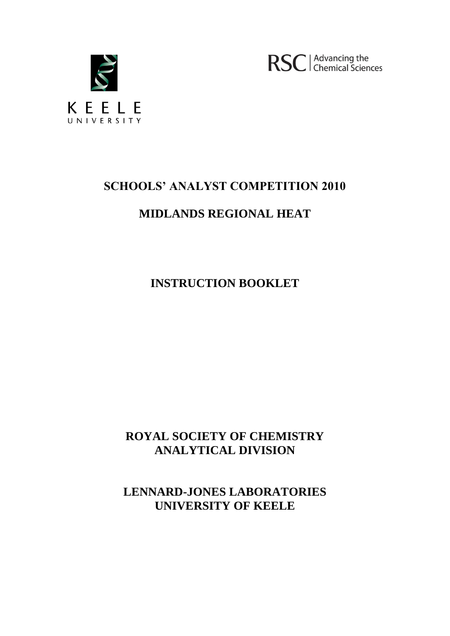

RSC | Advancing the

# **SCHOOLS' ANALYST COMPETITION 2010**

# **MIDLANDS REGIONAL HEAT**

**INSTRUCTION BOOKLET**

# **ROYAL SOCIETY OF CHEMISTRY ANALYTICAL DIVISION**

**LENNARD-JONES LABORATORIES UNIVERSITY OF KEELE**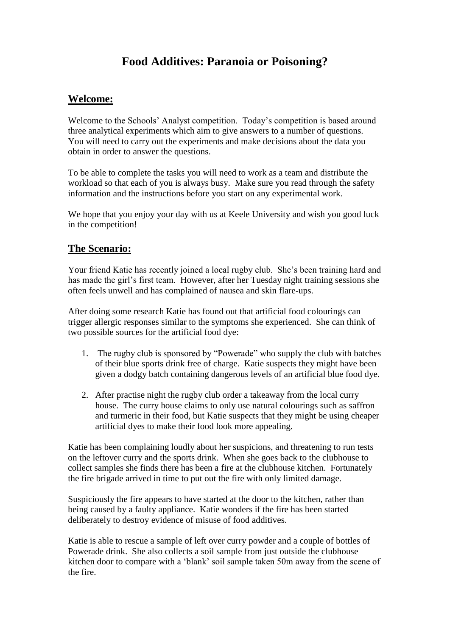## **Food Additives: Paranoia or Poisoning?**

### **Welcome:**

Welcome to the Schools' Analyst competition. Today's competition is based around three analytical experiments which aim to give answers to a number of questions. You will need to carry out the experiments and make decisions about the data you obtain in order to answer the questions.

To be able to complete the tasks you will need to work as a team and distribute the workload so that each of you is always busy. Make sure you read through the safety information and the instructions before you start on any experimental work.

We hope that you enjoy your day with us at Keele University and wish you good luck in the competition!

### **The Scenario:**

Your friend Katie has recently joined a local rugby club. She's been training hard and has made the girl's first team. However, after her Tuesday night training sessions she often feels unwell and has complained of nausea and skin flare-ups.

After doing some research Katie has found out that artificial food colourings can trigger allergic responses similar to the symptoms she experienced. She can think of two possible sources for the artificial food dye:

- 1. The rugby club is sponsored by "Powerade" who supply the club with batches of their blue sports drink free of charge. Katie suspects they might have been given a dodgy batch containing dangerous levels of an artificial blue food dye.
- 2. After practise night the rugby club order a takeaway from the local curry house. The curry house claims to only use natural colourings such as saffron and turmeric in their food, but Katie suspects that they might be using cheaper artificial dyes to make their food look more appealing.

Katie has been complaining loudly about her suspicions, and threatening to run tests on the leftover curry and the sports drink. When she goes back to the clubhouse to collect samples she finds there has been a fire at the clubhouse kitchen. Fortunately the fire brigade arrived in time to put out the fire with only limited damage.

Suspiciously the fire appears to have started at the door to the kitchen, rather than being caused by a faulty appliance. Katie wonders if the fire has been started deliberately to destroy evidence of misuse of food additives.

Katie is able to rescue a sample of left over curry powder and a couple of bottles of Powerade drink. She also collects a soil sample from just outside the clubhouse kitchen door to compare with a 'blank' soil sample taken 50m away from the scene of the fire.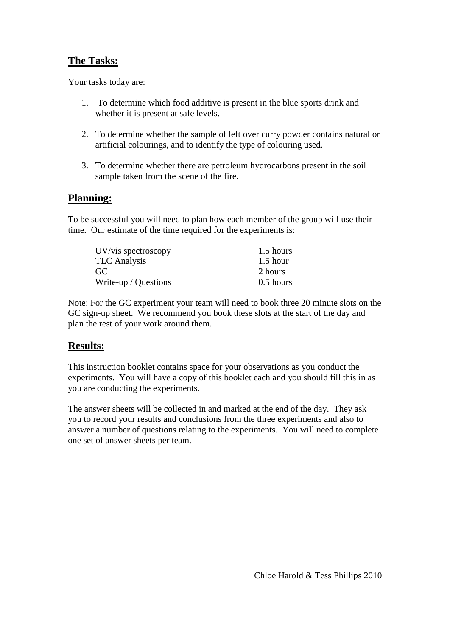## **The Tasks:**

Your tasks today are:

- 1. To determine which food additive is present in the blue sports drink and whether it is present at safe levels.
- 2. To determine whether the sample of left over curry powder contains natural or artificial colourings, and to identify the type of colouring used.
- 3. To determine whether there are petroleum hydrocarbons present in the soil sample taken from the scene of the fire.

## **Planning:**

To be successful you will need to plan how each member of the group will use their time. Our estimate of the time required for the experiments is:

| UV/vis spectroscopy  | 1.5 hours   |
|----------------------|-------------|
| TLC Analysis         | $1.5$ hour  |
| GC                   | 2 hours     |
| Write-up / Questions | $0.5$ hours |

Note: For the GC experiment your team will need to book three 20 minute slots on the GC sign-up sheet. We recommend you book these slots at the start of the day and plan the rest of your work around them.

#### **Results:**

This instruction booklet contains space for your observations as you conduct the experiments. You will have a copy of this booklet each and you should fill this in as you are conducting the experiments.

The answer sheets will be collected in and marked at the end of the day. They ask you to record your results and conclusions from the three experiments and also to answer a number of questions relating to the experiments. You will need to complete one set of answer sheets per team.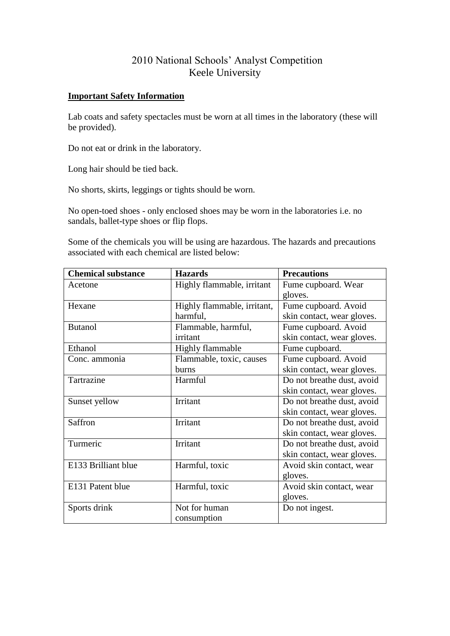## 2010 National Schools' Analyst Competition Keele University

#### **Important Safety Information**

Lab coats and safety spectacles must be worn at all times in the laboratory (these will be provided).

Do not eat or drink in the laboratory.

Long hair should be tied back.

No shorts, skirts, leggings or tights should be worn.

No open-toed shoes - only enclosed shoes may be worn in the laboratories i.e. no sandals, ballet-type shoes or flip flops.

Some of the chemicals you will be using are hazardous. The hazards and precautions associated with each chemical are listed below:

| <b>Chemical substance</b> | <b>Hazards</b>                                      | <b>Precautions</b>         |  |
|---------------------------|-----------------------------------------------------|----------------------------|--|
| Acetone                   | Highly flammable, irritant                          | Fume cupboard. Wear        |  |
|                           |                                                     | gloves.                    |  |
| Hexane                    | Highly flammable, irritant,<br>Fume cupboard. Avoid |                            |  |
|                           | harmful,                                            | skin contact, wear gloves. |  |
| <b>Butanol</b>            | Flammable, harmful,                                 | Fume cupboard. Avoid       |  |
|                           | irritant                                            | skin contact, wear gloves. |  |
| Ethanol                   | <b>Highly flammable</b>                             | Fume cupboard.             |  |
| Conc. ammonia             | Flammable, toxic, causes                            | Fume cupboard. Avoid       |  |
|                           | burns                                               | skin contact, wear gloves. |  |
| Tartrazine                | Harmful                                             | Do not breathe dust, avoid |  |
|                           |                                                     | skin contact, wear gloves. |  |
| Sunset yellow             | Irritant                                            | Do not breathe dust, avoid |  |
|                           |                                                     | skin contact, wear gloves. |  |
| Saffron                   | Irritant                                            | Do not breathe dust, avoid |  |
|                           |                                                     | skin contact, wear gloves. |  |
| Turmeric                  | Irritant                                            | Do not breathe dust, avoid |  |
|                           |                                                     | skin contact, wear gloves. |  |
| E133 Brilliant blue       | Harmful, toxic                                      | Avoid skin contact, wear   |  |
|                           |                                                     | gloves.                    |  |
| E131 Patent blue          | Harmful, toxic                                      | Avoid skin contact, wear   |  |
|                           |                                                     | gloves.                    |  |
| Sports drink              | Not for human                                       | Do not ingest.             |  |
|                           | consumption                                         |                            |  |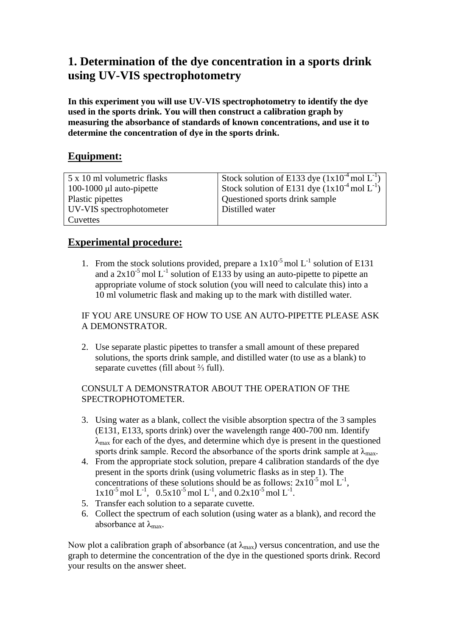## **1. Determination of the dye concentration in a sports drink using UV-VIS spectrophotometry**

**In this experiment you will use UV-VIS spectrophotometry to identify the dye used in the sports drink. You will then construct a calibration graph by measuring the absorbance of standards of known concentrations, and use it to determine the concentration of dye in the sports drink.**

## **Equipment:**

| 5 x 10 ml volumetric flasks | Stock solution of E133 dye $(1x10^{-4} \text{ mol L}^{-1})$ |
|-----------------------------|-------------------------------------------------------------|
| 100-1000 µl auto-pipette    | Stock solution of E131 dye $(1x10^{-4} \text{ mol L}^{-1})$ |
| Plastic pipettes            | Questioned sports drink sample                              |
| UV-VIS spectrophotometer    | Distilled water                                             |
| Cuvettes                    |                                                             |

## **Experimental procedure:**

1. From the stock solutions provided, prepare a  $1x10^{-5}$  mol L<sup>-1</sup> solution of E131 and a  $2x10^{-5}$  mol L<sup>-1</sup> solution of E133 by using an auto-pipette to pipette an appropriate volume of stock solution (you will need to calculate this) into a 10 ml volumetric flask and making up to the mark with distilled water.

IF YOU ARE UNSURE OF HOW TO USE AN AUTO-PIPETTE PLEASE ASK A DEMONSTRATOR.

2. Use separate plastic pipettes to transfer a small amount of these prepared solutions, the sports drink sample, and distilled water (to use as a blank) to separate cuvettes (fill about ⅔ full).

#### CONSULT A DEMONSTRATOR ABOUT THE OPERATION OF THE SPECTROPHOTOMETER.

- 3. Using water as a blank, collect the visible absorption spectra of the 3 samples (E131, E133, sports drink) over the wavelength range 400-700 nm. Identify  $\lambda_{\text{max}}$  for each of the dyes, and determine which dye is present in the questioned sports drink sample. Record the absorbance of the sports drink sample at  $\lambda_{\text{max}}$ .
- 4. From the appropriate stock solution, prepare 4 calibration standards of the dye present in the sports drink (using volumetric flasks as in step 1). The concentrations of these solutions should be as follows:  $2x10^{-5}$  mol  $L^{-1}$ ,  $1x10^{-5}$  mol L<sup>-1</sup>, 0.5x10<sup>-5</sup> mol L<sup>-1</sup>, and 0.2x10<sup>-5</sup> mol L<sup>-1</sup>.
- 5. Transfer each solution to a separate cuvette.
- 6. Collect the spectrum of each solution (using water as a blank), and record the absorbance at  $\lambda_{\text{max}}$ .

Now plot a calibration graph of absorbance (at  $\lambda_{\text{max}}$ ) versus concentration, and use the graph to determine the concentration of the dye in the questioned sports drink. Record your results on the answer sheet.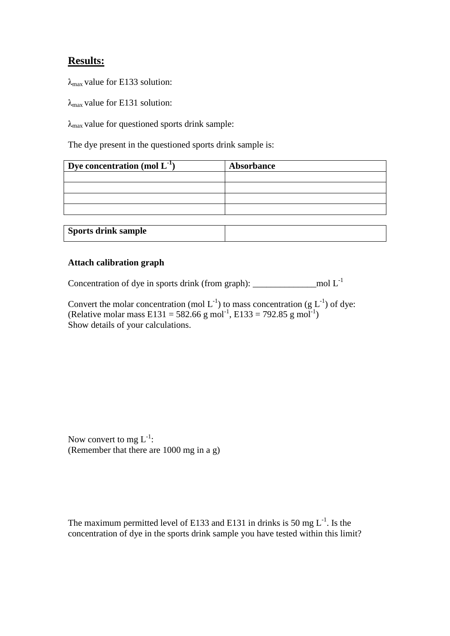### **Results:**

 $\lambda_{\text{max}}$  value for E133 solution:

 $\lambda_{\text{max}}$  value for E131 solution:

 $\lambda_{\text{max}}$  value for questioned sports drink sample:

The dye present in the questioned sports drink sample is:

| Dye concentration (mol $L^{-1}$ ) | Absorbance |
|-----------------------------------|------------|
|                                   |            |
|                                   |            |
|                                   |            |
|                                   |            |
|                                   |            |
| <b>Sports drink sample</b>        |            |

#### **Attach calibration graph**

Concentration of dye in sports drink (from graph): \_\_\_\_\_\_\_\_\_\_\_\_\_\_mol L-1

Convert the molar concentration (mol  $L^{-1}$ ) to mass concentration (g  $L^{-1}$ ) of dye: (Relative molar mass E131 = 582.66 g mol<sup>-1</sup>, E133 = 792.85 g mol<sup>-1</sup>) Show details of your calculations.

Now convert to mg  $L^{-1}$ : (Remember that there are 1000 mg in a g)

The maximum permitted level of E133 and E131 in drinks is 50 mg  $L^{-1}$ . Is the concentration of dye in the sports drink sample you have tested within this limit?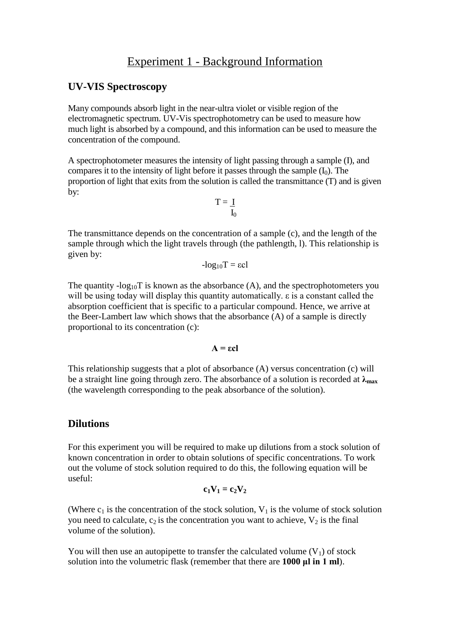## Experiment 1 - Background Information

#### **UV-VIS Spectroscopy**

Many compounds absorb light in the near-ultra violet or visible region of the electromagnetic spectrum. UV-Vis spectrophotometry can be used to measure how much light is absorbed by a compound, and this information can be used to measure the concentration of the compound.

A spectrophotometer measures the intensity of light passing through a sample (I), and compares it to the intensity of light before it passes through the sample  $(I_0)$ . The proportion of light that exits from the solution is called the transmittance (T) and is given by:

$$
T=\underline{\ I}_{I_0}
$$

The transmittance depends on the concentration of a sample (c), and the length of the sample through which the light travels through (the pathlength, l). This relationship is given by:

$$
-log_{10}T = \epsilon cl
$$

The quantity  $-\log_{10}T$  is known as the absorbance (A), and the spectrophotometers you will be using today will display this quantity automatically. ε is a constant called the absorption coefficient that is specific to a particular compound. Hence, we arrive at the Beer-Lambert law which shows that the absorbance (A) of a sample is directly proportional to its concentration (c):

 $A = \varepsilon c$ 

This relationship suggests that a plot of absorbance (A) versus concentration (c) will be a straight line going through zero. The absorbance of a solution is recorded at **λmax** (the wavelength corresponding to the peak absorbance of the solution).

#### **Dilutions**

For this experiment you will be required to make up dilutions from a stock solution of known concentration in order to obtain solutions of specific concentrations. To work out the volume of stock solution required to do this, the following equation will be useful:

$$
c_1V_1=c_2V_2
$$

(Where  $c_1$  is the concentration of the stock solution,  $V_1$  is the volume of stock solution you need to calculate,  $c_2$  is the concentration you want to achieve,  $V_2$  is the final volume of the solution).

You will then use an autopipette to transfer the calculated volume  $(V_1)$  of stock solution into the volumetric flask (remember that there are **1000 μl in 1 ml**).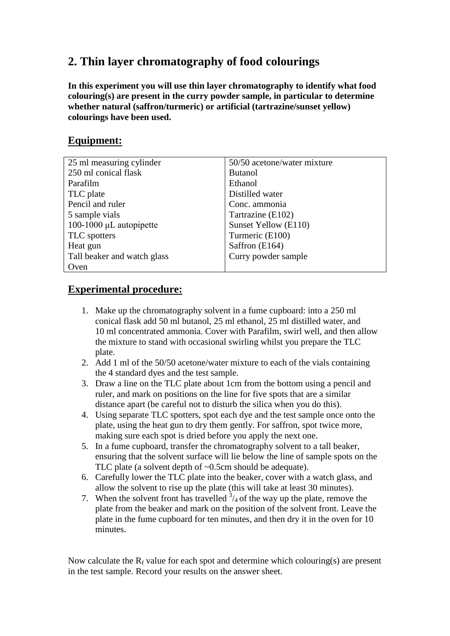## **2. Thin layer chromatography of food colourings**

**In this experiment you will use thin layer chromatography to identify what food colouring(s) are present in the curry powder sample, in particular to determine whether natural (saffron/turmeric) or artificial (tartrazine/sunset yellow) colourings have been used.**

## **Equipment:**

| 25 ml measuring cylinder     | 50/50 acetone/water mixture |
|------------------------------|-----------------------------|
| 250 ml conical flask         | <b>Butanol</b>              |
| Parafilm                     | Ethanol                     |
| TLC plate                    | Distilled water             |
| Pencil and ruler             | Conc. ammonia               |
| 5 sample vials               | Tartrazine (E102)           |
| 100-1000 $\mu$ L autopipette | Sunset Yellow (E110)        |
| TLC spotters                 | Turmeric (E100)             |
| Heat gun                     | Saffron (E164)              |
| Tall beaker and watch glass  | Curry powder sample         |
| Oven                         |                             |

## **Experimental procedure:**

- 1. Make up the chromatography solvent in a fume cupboard: into a 250 ml conical flask add 50 ml butanol, 25 ml ethanol, 25 ml distilled water, and 10 ml concentrated ammonia. Cover with Parafilm, swirl well, and then allow the mixture to stand with occasional swirling whilst you prepare the TLC plate.
- 2. Add 1 ml of the 50/50 acetone/water mixture to each of the vials containing the 4 standard dyes and the test sample.
- 3. Draw a line on the TLC plate about 1cm from the bottom using a pencil and ruler, and mark on positions on the line for five spots that are a similar distance apart (be careful not to disturb the silica when you do this).
- 4. Using separate TLC spotters, spot each dye and the test sample once onto the plate, using the heat gun to dry them gently. For saffron, spot twice more, making sure each spot is dried before you apply the next one.
- 5. In a fume cupboard, transfer the chromatography solvent to a tall beaker, ensuring that the solvent surface will lie below the line of sample spots on the TLC plate (a solvent depth of ~0.5cm should be adequate).
- 6. Carefully lower the TLC plate into the beaker, cover with a watch glass, and allow the solvent to rise up the plate (this will take at least 30 minutes).
- 7. When the solvent front has travelled  $\frac{3}{4}$  of the way up the plate, remove the plate from the beaker and mark on the position of the solvent front. Leave the plate in the fume cupboard for ten minutes, and then dry it in the oven for 10 minutes.

Now calculate the  $R_f$  value for each spot and determine which colouring(s) are present in the test sample. Record your results on the answer sheet.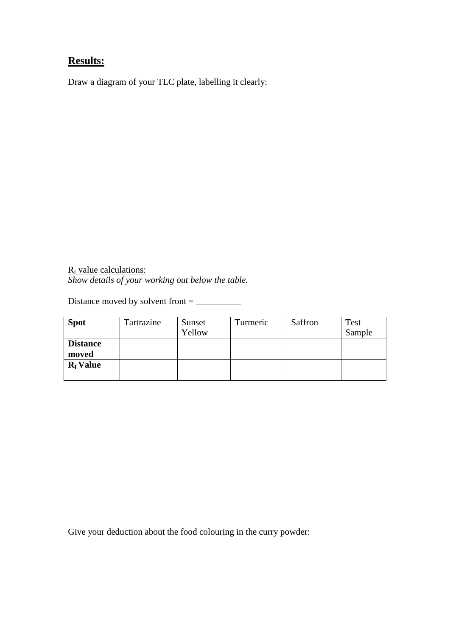## **Results:**

Draw a diagram of your TLC plate, labelling it clearly:

 $R_f$  value calculations: *Show details of your working out below the table.*

Distance moved by solvent front = \_\_\_\_\_\_\_\_\_\_

| <b>Spot</b>     | Tartrazine | Sunset | Turmeric | Saffron | Test   |
|-----------------|------------|--------|----------|---------|--------|
|                 |            | Yellow |          |         | Sample |
| <b>Distance</b> |            |        |          |         |        |
| moved           |            |        |          |         |        |
| $R_f$ Value     |            |        |          |         |        |
|                 |            |        |          |         |        |

Give your deduction about the food colouring in the curry powder: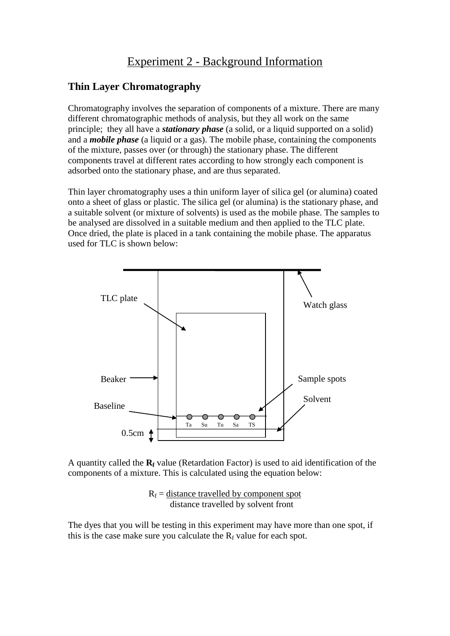## Experiment 2 - Background Information

### **Thin Layer Chromatography**

Chromatography involves the separation of components of a mixture. There are many different chromatographic methods of analysis, but they all work on the same principle; they all have a *stationary phase* (a solid, or a liquid supported on a solid) and a *mobile phase* (a liquid or a gas). The mobile phase, containing the components of the mixture, passes over (or through) the stationary phase. The different components travel at different rates according to how strongly each component is adsorbed onto the stationary phase, and are thus separated.

Thin layer chromatography uses a thin uniform layer of silica gel (or alumina) coated onto a sheet of glass or plastic. The silica gel (or alumina) is the stationary phase, and a suitable solvent (or mixture of solvents) is used as the mobile phase. The samples to be analysed are dissolved in a suitable medium and then applied to the TLC plate. Once dried, the plate is placed in a tank containing the mobile phase. The apparatus used for TLC is shown below:



A quantity called the **R<sup>f</sup>** value (Retardation Factor) is used to aid identification of the components of a mixture. This is calculated using the equation below:

$$
R_f = \frac{distance \, travelled \, by \, component \, spot}{distance \, travelled \, by \, solvent \, front}
$$

The dyes that you will be testing in this experiment may have more than one spot, if this is the case make sure you calculate the  $R_f$  value for each spot.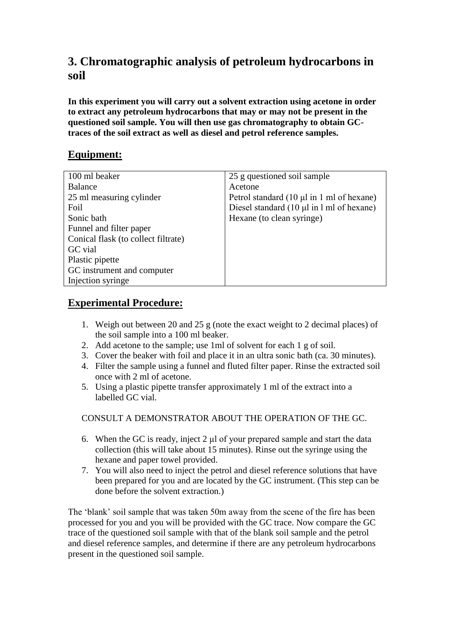## **3. Chromatographic analysis of petroleum hydrocarbons in soil**

**In this experiment you will carry out a solvent extraction using acetone in order to extract any petroleum hydrocarbons that may or may not be present in the questioned soil sample. You will then use gas chromatography to obtain GCtraces of the soil extract as well as diesel and petrol reference samples.**

## **Equipment:**

| 100 ml beaker                       | 25 g questioned soil sample                                     |
|-------------------------------------|-----------------------------------------------------------------|
| Balance                             | Acetone                                                         |
| 25 ml measuring cylinder            | Petrol standard $(10 \mu l \text{ in } 1 \text{ ml of hexane})$ |
| Foil                                | Diesel standard $(10 \mu l \text{ in } l \text{ ml of hexane})$ |
| Sonic bath                          | Hexane (to clean syringe)                                       |
| Funnel and filter paper             |                                                                 |
| Conical flask (to collect filtrate) |                                                                 |
| GC vial                             |                                                                 |
| Plastic pipette                     |                                                                 |
| GC instrument and computer          |                                                                 |
| Injection syringe                   |                                                                 |

## **Experimental Procedure:**

- 1. Weigh out between 20 and 25 g (note the exact weight to 2 decimal places) of the soil sample into a 100 ml beaker.
- 2. Add acetone to the sample; use 1ml of solvent for each 1 g of soil.
- 3. Cover the beaker with foil and place it in an ultra sonic bath (ca. 30 minutes).
- 4. Filter the sample using a funnel and fluted filter paper. Rinse the extracted soil once with 2 ml of acetone.
- 5. Using a plastic pipette transfer approximately 1 ml of the extract into a labelled GC vial.

CONSULT A DEMONSTRATOR ABOUT THE OPERATION OF THE GC.

- 6. When the GC is ready, inject 2 μl of your prepared sample and start the data collection (this will take about 15 minutes). Rinse out the syringe using the hexane and paper towel provided.
- 7. You will also need to inject the petrol and diesel reference solutions that have been prepared for you and are located by the GC instrument. (This step can be done before the solvent extraction.)

The 'blank' soil sample that was taken 50m away from the scene of the fire has been processed for you and you will be provided with the GC trace. Now compare the GC trace of the questioned soil sample with that of the blank soil sample and the petrol and diesel reference samples, and determine if there are any petroleum hydrocarbons present in the questioned soil sample.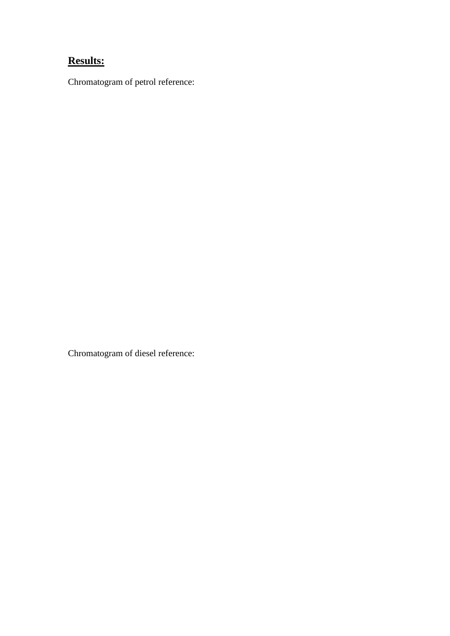# **Results:**

Chromatogram of petrol reference:

Chromatogram of diesel reference: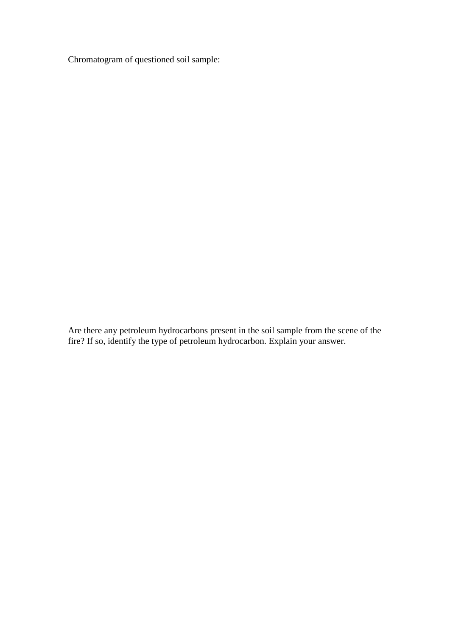Chromatogram of questioned soil sample:

Are there any petroleum hydrocarbons present in the soil sample from the scene of the fire? If so, identify the type of petroleum hydrocarbon. Explain your answer.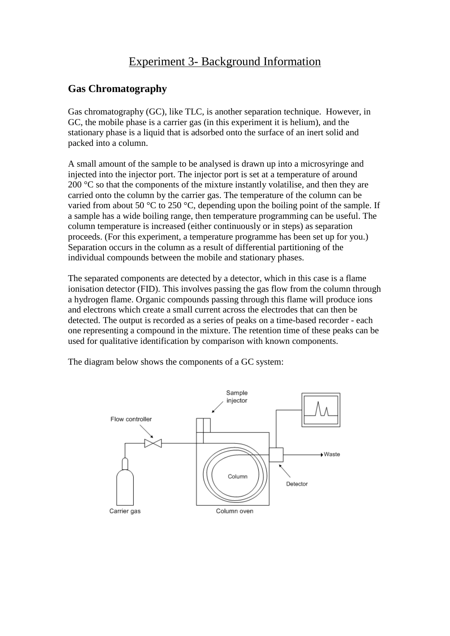## Experiment 3- Background Information

### **Gas Chromatography**

Gas chromatography (GC), like TLC, is another separation technique. However, in GC, the mobile phase is a carrier gas (in this experiment it is helium), and the stationary phase is a liquid that is adsorbed onto the surface of an inert solid and packed into a column.

A small amount of the sample to be analysed is drawn up into a microsyringe and injected into the injector port. The injector port is set at a temperature of around 200 °C so that the components of the mixture instantly volatilise, and then they are carried onto the column by the carrier gas. The temperature of the column can be varied from about 50 °C to 250 °C, depending upon the boiling point of the sample. If a sample has a wide boiling range, then temperature programming can be useful. The column temperature is increased (either continuously or in steps) as separation proceeds. (For this experiment, a temperature programme has been set up for you.) Separation occurs in the column as a result of differential partitioning of the individual compounds between the mobile and stationary phases.

The separated components are detected by a detector, which in this case is a flame ionisation detector (FID). This involves passing the gas flow from the column through a hydrogen flame. Organic compounds passing through this flame will produce ions and electrons which create a small current across the electrodes that can then be detected. The output is recorded as a series of peaks on a time-based recorder - each one representing a compound in the mixture. The retention time of these peaks can be used for qualitative identification by comparison with known components.

The diagram below shows the components of a GC system: